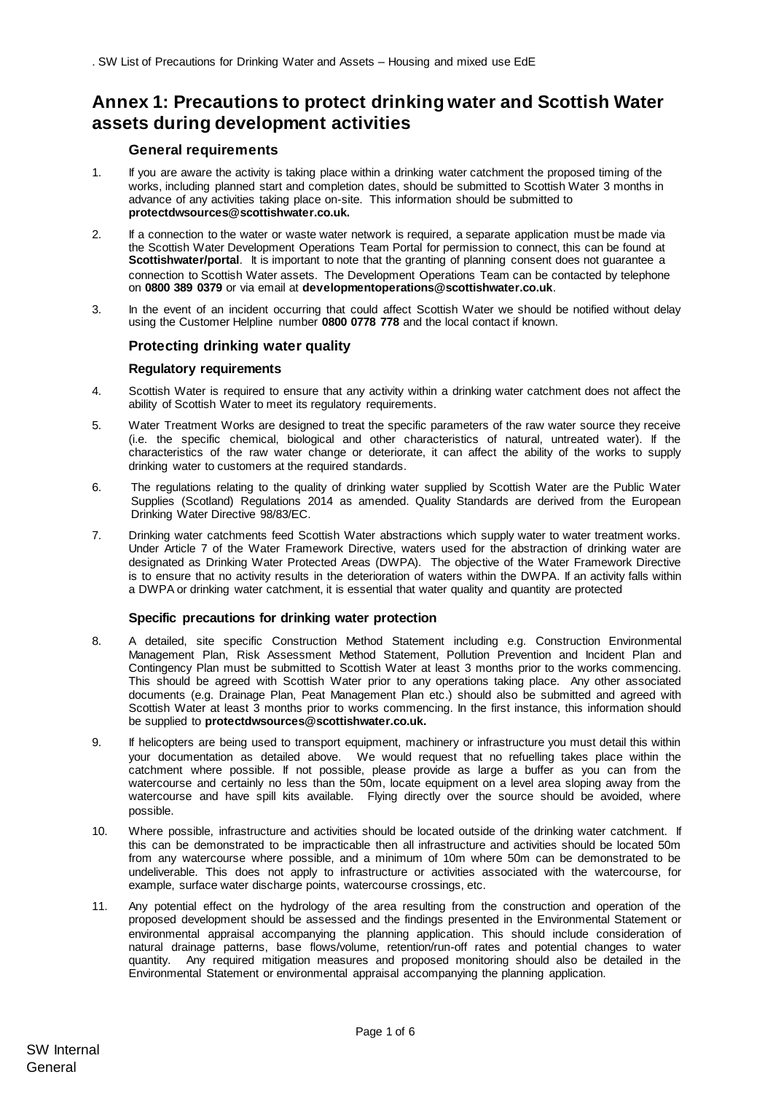# **Annex 1: Precautions to protect drinking water and Scottish Water assets during development activities**

# **General requirements**

- 1. If you are aware the activity is taking place within a drinking water catchment the proposed timing of the works, including planned start and completion dates, should be submitted to Scottish Water 3 months in advance of any activities taking place on-site. This information should be submitted to **protectdwsources@scottishwater.co.uk.**
- 2. If a connection to the water or waste water network is required, a separate application must be made via the Scottish Water Development Operations Team Portal for permission to connect, this can be found at **Scottishwater/portal**. It is important to note that the granting of planning consent does not guarantee a connection to Scottish Water assets. The Development Operations Team can be contacted by telephone on **0800 389 0379** or via email at **[developmentoperations@scottishwater.co.uk](mailto:developmentoperations@scottishwater.co.uk)**.
- 3. In the event of an incident occurring that could affect Scottish Water we should be notified without delay using the Customer Helpline number **0800 0778 778** and the local contact if known.

# **Protecting drinking water quality**

### **Regulatory requirements**

- 4. Scottish Water is required to ensure that any activity within a drinking water catchment does not affect the ability of Scottish Water to meet its regulatory requirements.
- 5. Water Treatment Works are designed to treat the specific parameters of the raw water source they receive (i.e. the specific chemical, biological and other characteristics of natural, untreated water). If the characteristics of the raw water change or deteriorate, it can affect the ability of the works to supply drinking water to customers at the required standards.
- 6. The regulations relating to the quality of drinking water supplied by Scottish Water are the Public Water Supplies (Scotland) Regulations 2014 as amended. Quality Standards are derived from the European Drinking Water Directive 98/83/EC.
- 7. Drinking water catchments feed Scottish Water abstractions which supply water to water treatment works. Under Article 7 of the Water Framework Directive, waters used for the abstraction of drinking water are designated as Drinking Water Protected Areas (DWPA). The objective of the Water Framework Directive is to ensure that no activity results in the deterioration of waters within the DWPA. If an activity falls within a DWPA or drinking water catchment, it is essential that water quality and quantity are protected

## **Specific precautions for drinking water protection**

- 8. A detailed, site specific Construction Method Statement including e.g. Construction Environmental Management Plan, Risk Assessment Method Statement, Pollution Prevention and Incident Plan and Contingency Plan must be submitted to Scottish Water at least 3 months prior to the works commencing. This should be agreed with Scottish Water prior to any operations taking place. Any other associated documents (e.g. Drainage Plan, Peat Management Plan etc.) should also be submitted and agreed with Scottish Water at least 3 months prior to works commencing. In the first instance, this information should be supplied to **protectdwsources@scottishwater.co.uk.**
- 9. If helicopters are being used to transport equipment, machinery or infrastructure you must detail this within your documentation as detailed above. We would request that no refuelling takes place within the catchment where possible. If not possible, please provide as large a buffer as you can from the watercourse and certainly no less than the 50m, locate equipment on a level area sloping away from the watercourse and have spill kits available. Flying directly over the source should be avoided, where possible.
- 10. Where possible, infrastructure and activities should be located outside of the drinking water catchment. If this can be demonstrated to be impracticable then all infrastructure and activities should be located 50m from any watercourse where possible, and a minimum of 10m where 50m can be demonstrated to be undeliverable. This does not apply to infrastructure or activities associated with the watercourse, for example, surface water discharge points, watercourse crossings, etc.
- 11. Any potential effect on the hydrology of the area resulting from the construction and operation of the proposed development should be assessed and the findings presented in the Environmental Statement or environmental appraisal accompanying the planning application. This should include consideration of natural drainage patterns, base flows/volume, retention/run-off rates and potential changes to water quantity. Any required mitigation measures and proposed monitoring should also be detailed in the Environmental Statement or environmental appraisal accompanying the planning application.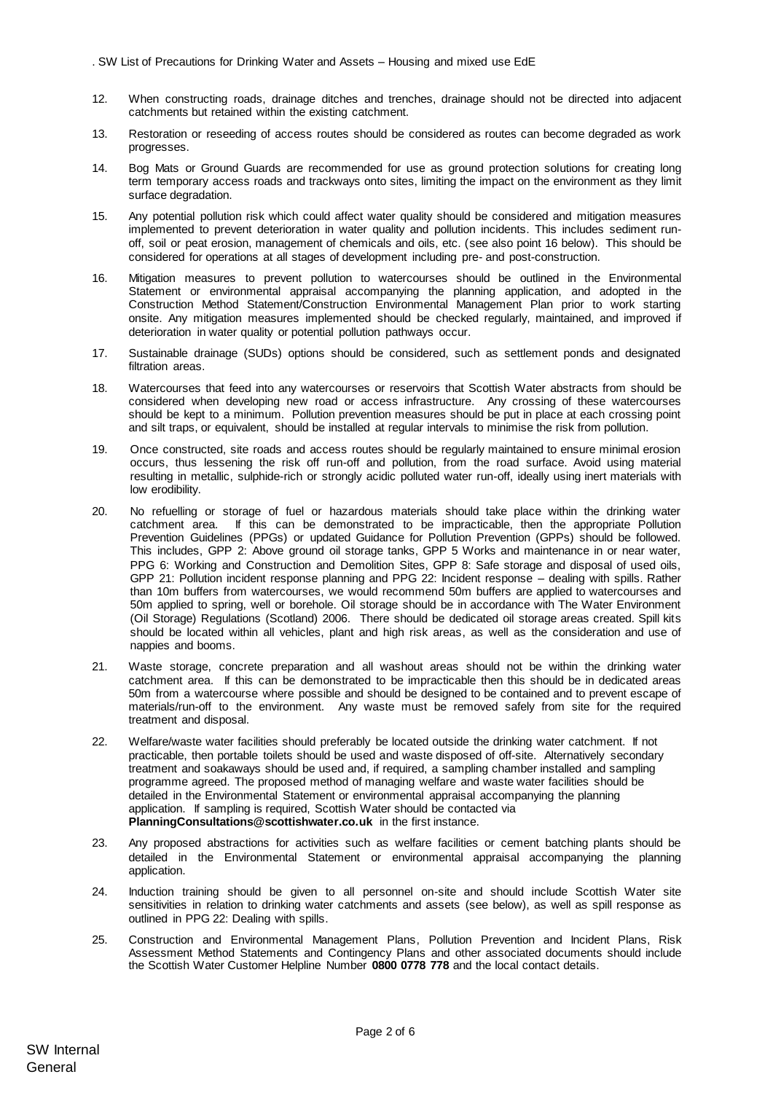- 12. When constructing roads, drainage ditches and trenches, drainage should not be directed into adjacent catchments but retained within the existing catchment.
- 13. Restoration or reseeding of access routes should be considered as routes can become degraded as work progresses.
- 14. Bog Mats or Ground Guards are recommended for use as ground protection solutions for creating long term temporary access roads and trackways onto sites, limiting the impact on the environment as they limit surface degradation.
- 15. Any potential pollution risk which could affect water quality should be considered and mitigation measures implemented to prevent deterioration in water quality and pollution incidents. This includes sediment runoff, soil or peat erosion, management of chemicals and oils, etc. (see also point 16 below). This should be considered for operations at all stages of development including pre- and post-construction.
- 16. Mitigation measures to prevent pollution to watercourses should be outlined in the Environmental Statement or environmental appraisal accompanying the planning application, and adopted in the Construction Method Statement/Construction Environmental Management Plan prior to work starting onsite. Any mitigation measures implemented should be checked regularly, maintained, and improved if deterioration in water quality or potential pollution pathways occur.
- 17. Sustainable drainage (SUDs) options should be considered, such as settlement ponds and designated filtration areas.
- 18. Watercourses that feed into any watercourses or reservoirs that Scottish Water abstracts from should be considered when developing new road or access infrastructure. Any crossing of these watercourses should be kept to a minimum. Pollution prevention measures should be put in place at each crossing point and silt traps, or equivalent, should be installed at regular intervals to minimise the risk from pollution.
- 19. Once constructed, site roads and access routes should be regularly maintained to ensure minimal erosion occurs, thus lessening the risk off run-off and pollution, from the road surface. Avoid using material resulting in metallic, sulphide-rich or strongly acidic polluted water run-off, ideally using inert materials with low erodibility.
- 20. No refuelling or storage of fuel or hazardous materials should take place within the drinking water catchment area. If this can be demonstrated to be impracticable, then the appropriate Pollution Prevention Guidelines (PPGs) or updated Guidance for Pollution Prevention (GPPs) should be followed. This includes, GPP 2: Above ground oil storage tanks, GPP 5 Works and maintenance in or near water, PPG 6: Working and Construction and Demolition Sites, GPP 8: Safe storage and disposal of used oils, GPP 21: Pollution incident response planning and PPG 22: Incident response – dealing with spills. Rather than 10m buffers from watercourses, we would recommend 50m buffers are applied to watercourses and 50m applied to spring, well or borehole. Oil storage should be in accordance with The Water Environment (Oil Storage) Regulations (Scotland) 2006. There should be dedicated oil storage areas created. Spill kits should be located within all vehicles, plant and high risk areas, as well as the consideration and use of nappies and booms.
- 21. Waste storage, concrete preparation and all washout areas should not be within the drinking water catchment area. If this can be demonstrated to be impracticable then this should be in dedicated areas 50m from a watercourse where possible and should be designed to be contained and to prevent escape of materials/run-off to the environment. Any waste must be removed safely from site for the required treatment and disposal.
- 22. Welfare/waste water facilities should preferably be located outside the drinking water catchment. If not practicable, then portable toilets should be used and waste disposed of off-site. Alternatively secondary treatment and soakaways should be used and, if required, a sampling chamber installed and sampling programme agreed. The proposed method of managing welfare and waste water facilities should be detailed in the Environmental Statement or environmental appraisal accompanying the planning application. If sampling is required, Scottish Water should be contacted via **PlanningConsultations@scottishwater.co.uk** in the first instance.
- 23. Any proposed abstractions for activities such as welfare facilities or cement batching plants should be detailed in the Environmental Statement or environmental appraisal accompanying the planning application.
- 24. Induction training should be given to all personnel on-site and should include Scottish Water site sensitivities in relation to drinking water catchments and assets (see below), as well as spill response as outlined in PPG 22: Dealing with spills.
- 25. Construction and Environmental Management Plans, Pollution Prevention and Incident Plans, Risk Assessment Method Statements and Contingency Plans and other associated documents should include the Scottish Water Customer Helpline Number **0800 0778 778** and the local contact details.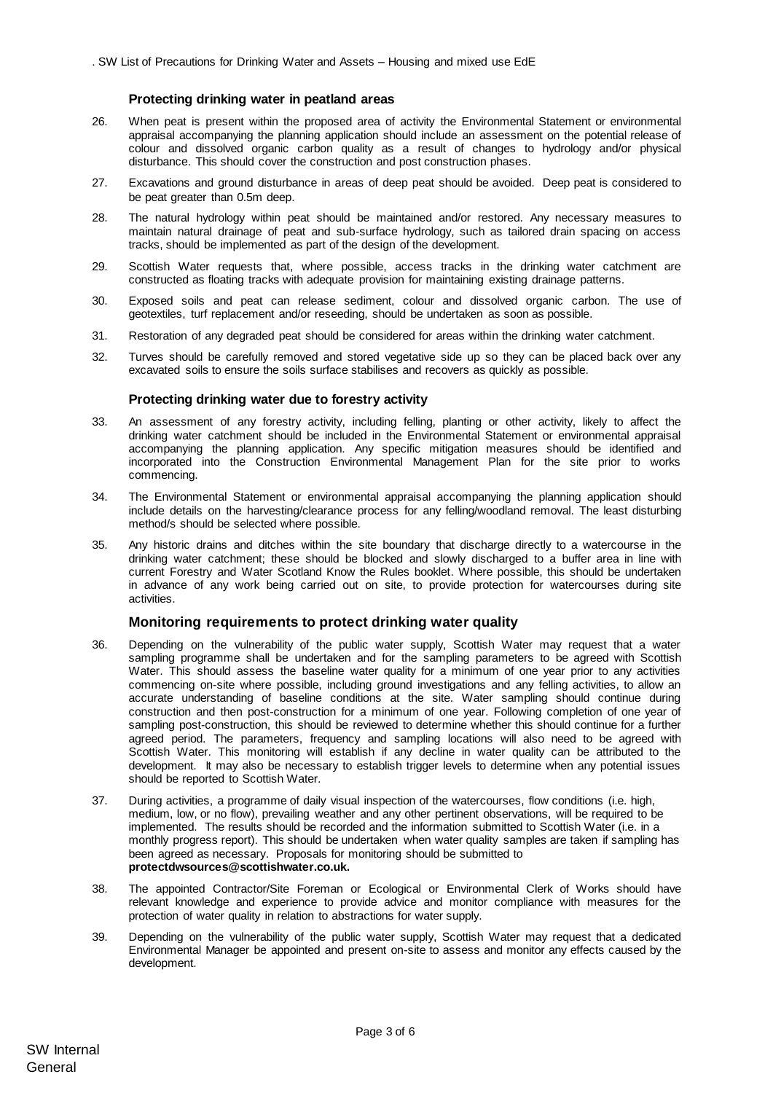#### **Protecting drinking water in peatland areas**

- 26. When peat is present within the proposed area of activity the Environmental Statement or environmental appraisal accompanying the planning application should include an assessment on the potential release of colour and dissolved organic carbon quality as a result of changes to hydrology and/or physical disturbance. This should cover the construction and post construction phases.
- 27. Excavations and ground disturbance in areas of deep peat should be avoided. Deep peat is considered to be peat greater than 0.5m deep.
- 28. The natural hydrology within peat should be maintained and/or restored. Any necessary measures to maintain natural drainage of peat and sub-surface hydrology, such as tailored drain spacing on access tracks, should be implemented as part of the design of the development.
- 29. Scottish Water requests that, where possible, access tracks in the drinking water catchment are constructed as floating tracks with adequate provision for maintaining existing drainage patterns.
- 30. Exposed soils and peat can release sediment, colour and dissolved organic carbon. The use of geotextiles, turf replacement and/or reseeding, should be undertaken as soon as possible.
- 31. Restoration of any degraded peat should be considered for areas within the drinking water catchment.
- 32. Turves should be carefully removed and stored vegetative side up so they can be placed back over any excavated soils to ensure the soils surface stabilises and recovers as quickly as possible.

#### **Protecting drinking water due to forestry activity**

- 33. An assessment of any forestry activity, including felling, planting or other activity, likely to affect the drinking water catchment should be included in the Environmental Statement or environmental appraisal accompanying the planning application. Any specific mitigation measures should be identified and incorporated into the Construction Environmental Management Plan for the site prior to works commencing.
- 34. The Environmental Statement or environmental appraisal accompanying the planning application should include details on the harvesting/clearance process for any felling/woodland removal. The least disturbing method/s should be selected where possible.
- 35. Any historic drains and ditches within the site boundary that discharge directly to a watercourse in the drinking water catchment; these should be blocked and slowly discharged to a buffer area in line with current Forestry and Water Scotland Know the Rules booklet. Where possible, this should be undertaken in advance of any work being carried out on site, to provide protection for watercourses during site activities.

## **Monitoring requirements to protect drinking water quality**

- 36. Depending on the vulnerability of the public water supply, Scottish Water may request that a water sampling programme shall be undertaken and for the sampling parameters to be agreed with Scottish Water. This should assess the baseline water quality for a minimum of one year prior to any activities commencing on-site where possible, including ground investigations and any felling activities, to allow an accurate understanding of baseline conditions at the site. Water sampling should continue during construction and then post-construction for a minimum of one year. Following completion of one year of sampling post-construction, this should be reviewed to determine whether this should continue for a further agreed period. The parameters, frequency and sampling locations will also need to be agreed with Scottish Water. This monitoring will establish if any decline in water quality can be attributed to the development. It may also be necessary to establish trigger levels to determine when any potential issues should be reported to Scottish Water.
- 37. During activities, a programme of daily visual inspection of the watercourses, flow conditions (i.e. high, medium, low, or no flow), prevailing weather and any other pertinent observations, will be required to be implemented. The results should be recorded and the information submitted to Scottish Water (i.e. in a monthly progress report). This should be undertaken when water quality samples are taken if sampling has been agreed as necessary. Proposals for monitoring should be submitted to **protectdwsources@scottishwater.co.uk.**
- 38. The appointed Contractor/Site Foreman or Ecological or Environmental Clerk of Works should have relevant knowledge and experience to provide advice and monitor compliance with measures for the protection of water quality in relation to abstractions for water supply.
- 39. Depending on the vulnerability of the public water supply, Scottish Water may request that a dedicated Environmental Manager be appointed and present on-site to assess and monitor any effects caused by the development.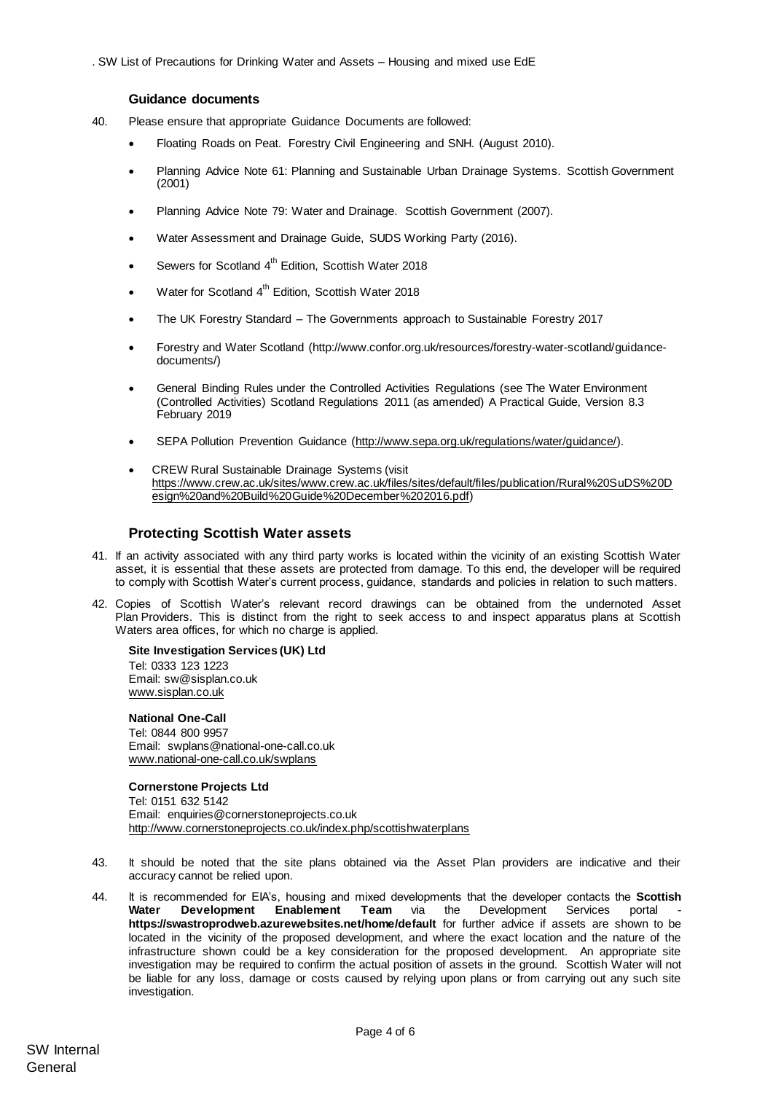## **Guidance documents**

- 40. Please ensure that appropriate Guidance Documents are followed:
	- Floating Roads on Peat. Forestry Civil Engineering and SNH. (August 2010).
	- Planning Advice Note 61: Planning and Sustainable Urban Drainage Systems. Scottish Government (2001)
	- Planning Advice Note 79: Water and Drainage. Scottish Government (2007).
	- Water Assessment and Drainage Guide, SUDS Working Party (2016).
	- Sewers for Scotland 4<sup>th</sup> Edition, Scottish Water 2018
	- Water for Scotland 4<sup>th</sup> Edition, Scottish Water 2018
	- The UK Forestry Standard The Governments approach to Sustainable Forestry 2017
	- Forestry and Water Scotland (http://www.confor.org.uk/resources/forestry-water-scotland/guidancedocuments/)
	- General Binding Rules under the Controlled Activities Regulations (see The Water Environment (Controlled Activities) Scotland Regulations 2011 (as amended) A Practical Guide, Version 8.3 February 2019
	- SEPA Pollution Prevention Guidance [\(http://www.sepa.org.uk/regulations/water/guidance/\).](http://www.sepa.org.uk/regulations/water/guidance/)
	- CREW Rural Sustainable Drainage Systems (visit [https://www.crew.ac.uk/sites/www.crew.ac.uk/files/sites/default/files/publication/Rural%20SuDS%20D](https://www.crew.ac.uk/sites/www.crew.ac.uk/files/sites/default/files/publication/Rural%20SuDS%20Design%20and%20Build%20Guide%20December%202016.pdf) [esign%20and%20Build%20Guide%20December%202016.pdf\)](https://www.crew.ac.uk/sites/www.crew.ac.uk/files/sites/default/files/publication/Rural%20SuDS%20Design%20and%20Build%20Guide%20December%202016.pdf)

# **Protecting Scottish Water assets**

- 41. If an activity associated with any third party works is located within the vicinity of an existing Scottish Water asset, it is essential that these assets are protected from damage. To this end, the developer will be required to comply with Scottish Water's current process, guidance, standards and policies in relation to such matters.
- 42. Copies of Scottish Water's relevant record drawings can be obtained from the undernoted Asset Plan Providers. This is distinct from the right to seek access to and inspect apparatus plans at Scottish Waters area offices, for which no charge is applied.

#### **Site Investigation Services (UK) Ltd**

Tel: 0333 123 1223 Email: sw@sisplan.co.uk [www.sisplan.co.uk](http://www.sisplan.co.uk/)

#### **National One-Call**

Tel: 0844 800 9957 Email: swplans@national-one-call.co.uk [www.national-one-call.co.uk/swplans](http://www.national-one-call.co.uk/swplans)

## **Cornerstone Projects Ltd**

Tel: 0151 632 5142 Email: [enquiries@cornerstoneprojects.co.uk](mailto:enquiries@cornerstoneprojects.co.uk) <http://www.cornerstoneprojects.co.uk/index.php/scottishwaterplans>

- 43. It should be noted that the site plans obtained via the Asset Plan providers are indicative and their accuracy cannot be relied upon.
- 44. It is recommended for EIA's, housing and mixed developments that the developer contacts the **Scottish**  Water Development Enablement Team via the Development Services portal **<https://swastroprodweb.azurewebsites.net/home/default>** for further advice if assets are shown to be located in the vicinity of the proposed development, and where the exact location and the nature of the infrastructure shown could be a key consideration for the proposed development. An appropriate site investigation may be required to confirm the actual position of assets in the ground. Scottish Water will not be liable for any loss, damage or costs caused by relying upon plans or from carrying out any such site investigation.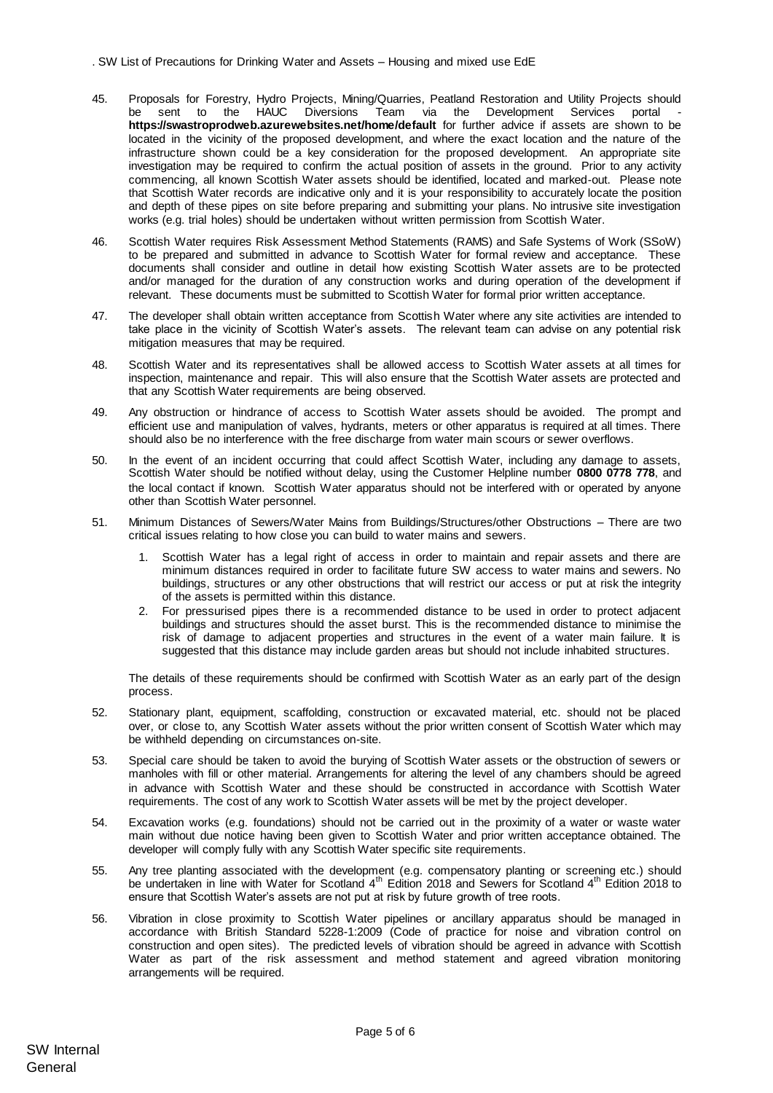- 45. Proposals for Forestry, Hydro Projects, Mining/Quarries, Peatland Restoration and Utility Projects should be sent to the HAUC Diversions Team via the Development Services portal **https://swastroprodweb.azurewebsites.net/home/default** for further advice if assets are shown to be located in the vicinity of the proposed development, and where the exact location and the nature of the infrastructure shown could be a key consideration for the proposed development. An appropriate site investigation may be required to confirm the actual position of assets in the ground. Prior to any activity commencing, all known Scottish Water assets should be identified, located and marked-out. Please note that Scottish Water records are indicative only and it is your responsibility to accurately locate the position and depth of these pipes on site before preparing and submitting your plans. No intrusive site investigation works (e.g. trial holes) should be undertaken without written permission from Scottish Water.
- 46. Scottish Water requires Risk Assessment Method Statements (RAMS) and Safe Systems of Work (SSoW) to be prepared and submitted in advance to Scottish Water for formal review and acceptance. These documents shall consider and outline in detail how existing Scottish Water assets are to be protected and/or managed for the duration of any construction works and during operation of the development if relevant. These documents must be submitted to Scottish Water for formal prior written acceptance.
- 47. The developer shall obtain written acceptance from Scottish Water where any site activities are intended to take place in the vicinity of Scottish Water's assets. The relevant team can advise on any potential risk mitigation measures that may be required.
- 48. Scottish Water and its representatives shall be allowed access to Scottish Water assets at all times for inspection, maintenance and repair. This will also ensure that the Scottish Water assets are protected and that any Scottish Water requirements are being observed.
- 49. Any obstruction or hindrance of access to Scottish Water assets should be avoided. The prompt and efficient use and manipulation of valves, hydrants, meters or other apparatus is required at all times. There should also be no interference with the free discharge from water main scours or sewer overflows.
- 50. In the event of an incident occurring that could affect Scottish Water, including any damage to assets, Scottish Water should be notified without delay, using the Customer Helpline number **0800 0778 778**, and the local contact if known. Scottish Water apparatus should not be interfered with or operated by anyone other than Scottish Water personnel.
- 51. Minimum Distances of Sewers/Water Mains from Buildings/Structures/other Obstructions There are two critical issues relating to how close you can build to water mains and sewers.
	- 1. Scottish Water has a legal right of access in order to maintain and repair assets and there are minimum distances required in order to facilitate future SW access to water mains and sewers. No buildings, structures or any other obstructions that will restrict our access or put at risk the integrity of the assets is permitted within this distance.
	- 2. For pressurised pipes there is a recommended distance to be used in order to protect adjacent buildings and structures should the asset burst. This is the recommended distance to minimise the risk of damage to adjacent properties and structures in the event of a water main failure. It is suggested that this distance may include garden areas but should not include inhabited structures.

The details of these requirements should be confirmed with Scottish Water as an early part of the design process.

- 52. Stationary plant, equipment, scaffolding, construction or excavated material, etc. should not be placed over, or close to, any Scottish Water assets without the prior written consent of Scottish Water which may be withheld depending on circumstances on-site.
- 53. Special care should be taken to avoid the burying of Scottish Water assets or the obstruction of sewers or manholes with fill or other material. Arrangements for altering the level of any chambers should be agreed in advance with Scottish Water and these should be constructed in accordance with Scottish Water requirements. The cost of any work to Scottish Water assets will be met by the project developer.
- 54. Excavation works (e.g. foundations) should not be carried out in the proximity of a water or waste water main without due notice having been given to Scottish Water and prior written acceptance obtained. The developer will comply fully with any Scottish Water specific site requirements.
- 55. Any tree planting associated with the development (e.g. compensatory planting or screening etc.) should be undertaken in line with Water for Scotland 4<sup>th</sup> Edition 2018 and Sewers for Scotland 4<sup>th</sup> Edition 2018 to ensure that Scottish Water's assets are not put at risk by future growth of tree roots.
- 56. Vibration in close proximity to Scottish Water pipelines or ancillary apparatus should be managed in accordance with British Standard 5228-1:2009 (Code of practice for noise and vibration control on construction and open sites). The predicted levels of vibration should be agreed in advance with Scottish Water as part of the risk assessment and method statement and agreed vibration monitoring arrangements will be required.